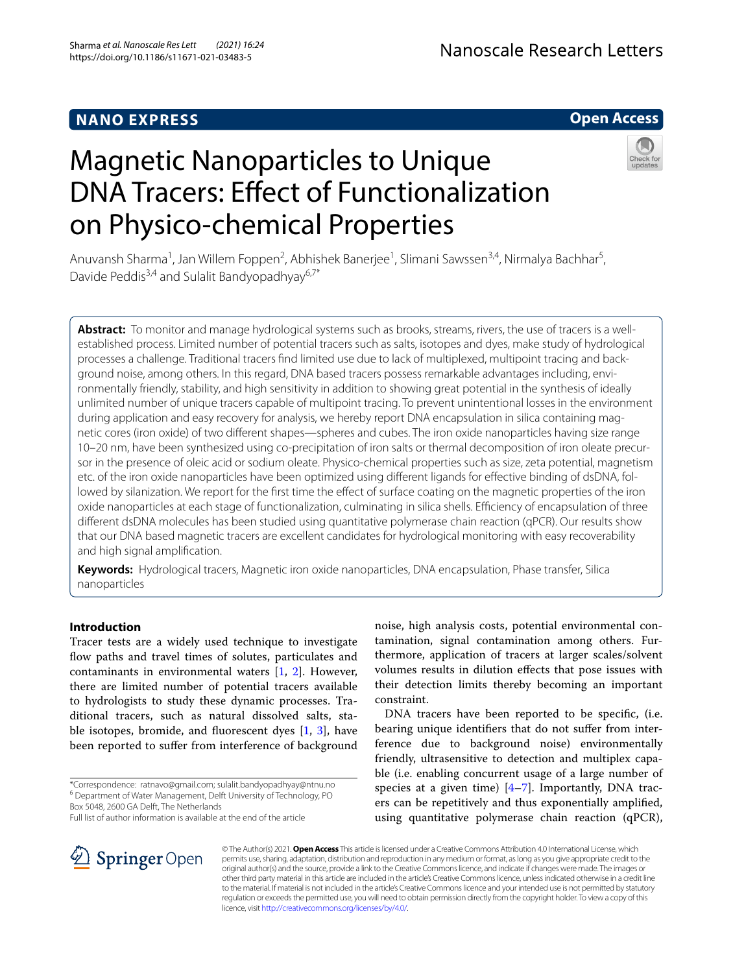# **NANO EXPRESS**

## **Open Access**

# Magnetic Nanoparticles to Unique DNA Tracers: Effect of Functionalization on Physico-chemical Properties



Anuvansh Sharma<sup>1</sup>, Jan Willem Foppen<sup>2</sup>, Abhishek Banerjee<sup>1</sup>, Slimani Sawssen<sup>3,4</sup>, Nirmalya Bachhar<sup>5</sup>, Davide Peddis<sup>3,4</sup> and Sulalit Bandyopadhyay<sup>6,7\*</sup>

**Abstract:** To monitor and manage hydrological systems such as brooks, streams, rivers, the use of tracers is a wellestablished process. Limited number of potential tracers such as salts, isotopes and dyes, make study of hydrological processes a challenge. Traditional tracers find limited use due to lack of multiplexed, multipoint tracing and background noise, among others. In this regard, DNA based tracers possess remarkable advantages including, environmentally friendly, stability, and high sensitivity in addition to showing great potential in the synthesis of ideally unlimited number of unique tracers capable of multipoint tracing. To prevent unintentional losses in the environment during application and easy recovery for analysis, we hereby report DNA encapsulation in silica containing magnetic cores (iron oxide) of two different shapes—spheres and cubes. The iron oxide nanoparticles having size range 10–20 nm, have been synthesized using co-precipitation of iron salts or thermal decomposition of iron oleate precursor in the presence of oleic acid or sodium oleate. Physico-chemical properties such as size, zeta potential, magnetism etc. of the iron oxide nanoparticles have been optimized using different ligands for effective binding of dsDNA, followed by silanization. We report for the first time the effect of surface coating on the magnetic properties of the iron oxide nanoparticles at each stage of functionalization, culminating in silica shells. Efficiency of encapsulation of three different dsDNA molecules has been studied using quantitative polymerase chain reaction (qPCR). Our results show that our DNA based magnetic tracers are excellent candidates for hydrological monitoring with easy recoverability and high signal amplification.

**Keywords:** Hydrological tracers, Magnetic iron oxide nanoparticles, DNA encapsulation, Phase transfer, Silica nanoparticles

## **Introduction**

Tracer tests are a widely used technique to investigate flow paths and travel times of solutes, particulates and contaminants in environmental waters [\[1](#page-14-0), [2\]](#page-14-1). However, there are limited number of potential tracers available to hydrologists to study these dynamic processes. Traditional tracers, such as natural dissolved salts, stable isotopes, bromide, and fluorescent dyes [[1,](#page-14-0) [3\]](#page-14-2), have been reported to suffer from interference of background

\*Correspondence: ratnavo@gmail.com; sulalit.bandyopadhyay@ntnu.no <sup>6</sup> Department of Water Management, Delft University of Technology, PO Box 5048, 2600 GA Delft, The Netherlands

Full list of author information is available at the end of the article

noise, high analysis costs, potential environmental contamination, signal contamination among others. Furthermore, application of tracers at larger scales/solvent volumes results in dilution effects that pose issues with their detection limits thereby becoming an important constraint.

DNA tracers have been reported to be specific, (i.e. bearing unique identifiers that do not suffer from interference due to background noise) environmentally friendly, ultrasensitive to detection and multiplex capable (i.e. enabling concurrent usage of a large number of species at a given time)  $[4-7]$  $[4-7]$ . Importantly, DNA tracers can be repetitively and thus exponentially amplified, using quantitative polymerase chain reaction (qPCR),



© The Author(s) 2021. **Open Access** This article is licensed under a Creative Commons Attribution 4.0 International License, which permits use, sharing, adaptation, distribution and reproduction in any medium or format, as long as you give appropriate credit to the original author(s) and the source, provide a link to the Creative Commons licence, and indicate if changes were made. The images or other third party material in this article are included in the article's Creative Commons licence, unless indicated otherwise in a credit line to the material. If material is not included in the article's Creative Commons licence and your intended use is not permitted by statutory regulation or exceeds the permitted use, you will need to obtain permission directly from the copyright holder. To view a copy of this licence, visit http://creativecommons.org/licenses/by/4.0/.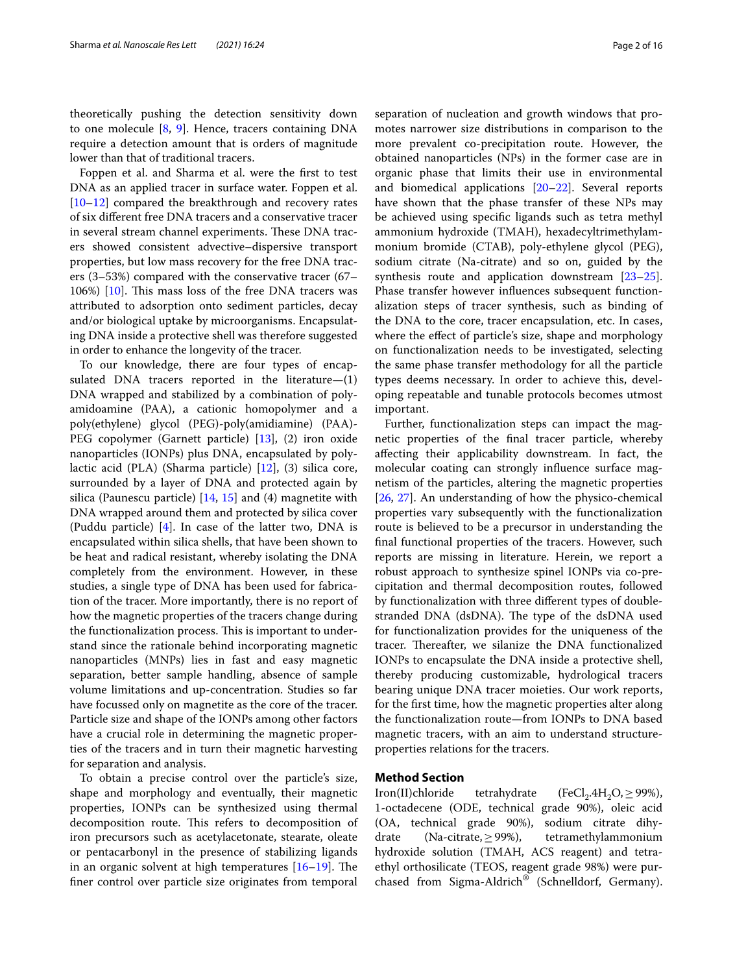theoretically pushing the detection sensitivity down to one molecule [\[8](#page-14-5), [9](#page-14-6)]. Hence, tracers containing DNA require a detection amount that is orders of magnitude lower than that of traditional tracers.

Foppen et al. and Sharma et al. were the first to test DNA as an applied tracer in surface water. Foppen et al. [[10–](#page-14-7)[12](#page-14-8)] compared the breakthrough and recovery rates of six different free DNA tracers and a conservative tracer in several stream channel experiments. These DNA tracers showed consistent advective–dispersive transport properties, but low mass recovery for the free DNA tracers (3–53%) compared with the conservative tracer (67– 106%) [\[10](#page-14-7)]. This mass loss of the free DNA tracers was attributed to adsorption onto sediment particles, decay and/or biological uptake by microorganisms. Encapsulating DNA inside a protective shell was therefore suggested in order to enhance the longevity of the tracer.

To our knowledge, there are four types of encapsulated DNA tracers reported in the literature—(1) DNA wrapped and stabilized by a combination of polyamidoamine (PAA), a cationic homopolymer and a poly(ethylene) glycol (PEG)-poly(amidiamine) (PAA)- PEG copolymer (Garnett particle) [[13](#page-14-9)], (2) iron oxide nanoparticles (IONPs) plus DNA, encapsulated by polylactic acid (PLA) (Sharma particle) [[12\]](#page-14-8), (3) silica core, surrounded by a layer of DNA and protected again by silica (Paunescu particle)  $[14, 15]$  $[14, 15]$  $[14, 15]$  $[14, 15]$  and (4) magnetite with DNA wrapped around them and protected by silica cover (Puddu particle) [\[4](#page-14-3)]. In case of the latter two, DNA is encapsulated within silica shells, that have been shown to be heat and radical resistant, whereby isolating the DNA completely from the environment. However, in these studies, a single type of DNA has been used for fabrication of the tracer. More importantly, there is no report of how the magnetic properties of the tracers change during the functionalization process. This is important to understand since the rationale behind incorporating magnetic nanoparticles (MNPs) lies in fast and easy magnetic separation, better sample handling, absence of sample volume limitations and up-concentration. Studies so far have focussed only on magnetite as the core of the tracer. Particle size and shape of the IONPs among other factors have a crucial role in determining the magnetic properties of the tracers and in turn their magnetic harvesting for separation and analysis.

To obtain a precise control over the particle's size, shape and morphology and eventually, their magnetic properties, IONPs can be synthesized using thermal decomposition route. This refers to decomposition of iron precursors such as acetylacetonate, stearate, oleate or pentacarbonyl in the presence of stabilizing ligands in an organic solvent at high temperatures [[16–](#page-14-12)[19](#page-14-13)]. The finer control over particle size originates from temporal

separation of nucleation and growth windows that promotes narrower size distributions in comparison to the more prevalent co-precipitation route. However, the obtained nanoparticles (NPs) in the former case are in organic phase that limits their use in environmental and biomedical applications [[20–](#page-14-14)[22\]](#page-14-15). Several reports have shown that the phase transfer of these NPs may be achieved using specific ligands such as tetra methyl ammonium hydroxide (TMAH), hexadecyltrimethylammonium bromide (CTAB), poly-ethylene glycol (PEG), sodium citrate (Na-citrate) and so on, guided by the synthesis route and application downstream [[23](#page-14-16)[–25](#page-14-17)]. Phase transfer however influences subsequent functionalization steps of tracer synthesis, such as binding of the DNA to the core, tracer encapsulation, etc. In cases, where the effect of particle's size, shape and morphology on functionalization needs to be investigated, selecting the same phase transfer methodology for all the particle types deems necessary. In order to achieve this, developing repeatable and tunable protocols becomes utmost important.

Further, functionalization steps can impact the magnetic properties of the final tracer particle, whereby affecting their applicability downstream. In fact, the molecular coating can strongly influence surface magnetism of the particles, altering the magnetic properties [[26,](#page-14-18) [27\]](#page-14-19). An understanding of how the physico-chemical properties vary subsequently with the functionalization route is believed to be a precursor in understanding the final functional properties of the tracers. However, such reports are missing in literature. Herein, we report a robust approach to synthesize spinel IONPs via co-precipitation and thermal decomposition routes, followed by functionalization with three different types of doublestranded DNA (dsDNA). The type of the dsDNA used for functionalization provides for the uniqueness of the tracer. Thereafter, we silanize the DNA functionalized IONPs to encapsulate the DNA inside a protective shell, thereby producing customizable, hydrological tracers bearing unique DNA tracer moieties. Our work reports, for the first time, how the magnetic properties alter along the functionalization route—from IONPs to DNA based magnetic tracers, with an aim to understand structureproperties relations for the tracers.

## <span id="page-1-0"></span>**Method Section**

Iron(II)chloride tetrahydrate  $(FeCl<sub>2</sub>.4H<sub>2</sub>O<sub>2</sub> \ge 99\%).$ 1-octadecene (ODE, technical grade 90%), oleic acid (OA, technical grade 90%), sodium citrate dihydrate (Na-citrate,  $\geq$  99%), tetramethylammonium hydroxide solution (TMAH, ACS reagent) and tetraethyl orthosilicate (TEOS, reagent grade 98%) were purchased from Sigma-Aldrich® (Schnelldorf, Germany).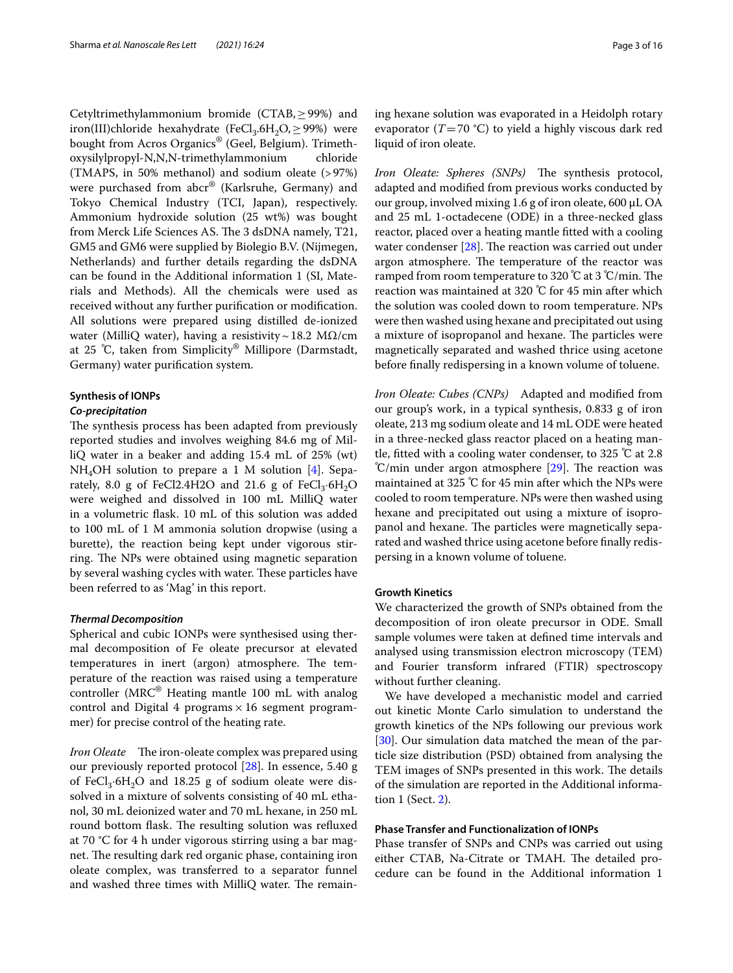Cetyltrimethylammonium bromide (CTAB,  $\geq$  99%) and iron(III)chloride hexahydrate (FeCl<sub>3</sub>.6H<sub>2</sub>O,  $\geq$  99%) were bought from Acros Organics® (Geel, Belgium). Trimethoxysilylpropyl-N,N,N-trimethylammonium chloride (TMAPS, in 50% methanol) and sodium oleate (> 97%) were purchased from abcr® (Karlsruhe, Germany) and Tokyo Chemical Industry (TCI, Japan), respectively. Ammonium hydroxide solution (25 wt%) was bought from Merck Life Sciences AS. The 3 dsDNA namely, T21, GM5 and GM6 were supplied by Biolegio B.V. (Nijmegen, Netherlands) and further details regarding the dsDNA can be found in the Additional information 1 (SI, Materials and Methods). All the chemicals were used as received without any further purification or modification. All solutions were prepared using distilled de-ionized water (MilliQ water), having a resistivity ~ 18.2 M $\Omega$ /cm at 25 ℃, taken from Simplicity® Millipore (Darmstadt, Germany) water purification system.

## **Synthesis of IONPs**

## **Co‑precipitation**

The synthesis process has been adapted from previously reported studies and involves weighing 84.6 mg of MilliQ water in a beaker and adding 15.4 mL of 25% (wt)  $NH<sub>4</sub>OH$  solution to prepare a 1 M solution [[4\]](#page-14-3). Separately, 8.0 g of FeCl2.4H2O and 21.6 g of  $FeCl<sub>3</sub>·6H<sub>2</sub>O$ were weighed and dissolved in 100 mL MilliQ water in a volumetric flask. 10 mL of this solution was added to 100 mL of 1 M ammonia solution dropwise (using a burette), the reaction being kept under vigorous stirring. The NPs were obtained using magnetic separation by several washing cycles with water. These particles have been referred to as 'Mag' in this report.

## **Thermal Decomposition**

Spherical and cubic IONPs were synthesised using thermal decomposition of Fe oleate precursor at elevated temperatures in inert (argon) atmosphere. The temperature of the reaction was raised using a temperature controller (MRC® Heating mantle 100 mL with analog control and Digital 4 programs  $\times$  16 segment programmer) for precise control of the heating rate.

Iron Oleate The iron-oleate complex was prepared using our previously reported protocol [\[28](#page-14-20)]. In essence, 5.40 g of  $FeCl<sub>3</sub>·6H<sub>2</sub>O$  and 18.25 g of sodium oleate were dissolved in a mixture of solvents consisting of 40 mL ethanol, 30 mL deionized water and 70 mL hexane, in 250 mL round bottom flask. The resulting solution was refluxed at 70 °C for 4 h under vigorous stirring using a bar magnet. The resulting dark red organic phase, containing iron oleate complex, was transferred to a separator funnel and washed three times with MilliQ water. The remaining hexane solution was evaporated in a Heidolph rotary evaporator ( $T= 70$  °C) to yield a highly viscous dark red liquid of iron oleate.

Iron Oleate: Spheres (SNPs) The synthesis protocol, adapted and modified from previous works conducted by our group, involved mixing 1.6 g of iron oleate, 600 µL OA and 25 mL 1-octadecene (ODE) in a three-necked glass reactor, placed over a heating mantle fitted with a cooling water condenser [[28](#page-14-20)]. The reaction was carried out under argon atmosphere. The temperature of the reactor was ramped from room temperature to 320 ℃ at 3 ℃/min. The reaction was maintained at 320 ℃ for 45 min after which the solution was cooled down to room temperature. NPs were then washed using hexane and precipitated out using a mixture of isopropanol and hexane. The particles were magnetically separated and washed thrice using acetone before finally redispersing in a known volume of toluene.

Iron Oleate: Cubes (CNPs) Adapted and modified from our group's work, in a typical synthesis, 0.833 g of iron oleate, 213 mg sodium oleate and 14 mL ODE were heated in a three-necked glass reactor placed on a heating mantle, fitted with a cooling water condenser, to 325 ℃ at 2.8 ℃/min under argon atmosphere [\[29](#page-14-21)]. The reaction was maintained at 325 ℃ for 45 min after which the NPs were cooled to room temperature. NPs were then washed using hexane and precipitated out using a mixture of isopropanol and hexane. The particles were magnetically separated and washed thrice using acetone before finally redispersing in a known volume of toluene.

## **Growth Kinetics**

We characterized the growth of SNPs obtained from the decomposition of iron oleate precursor in ODE. Small sample volumes were taken at defined time intervals and analysed using transmission electron microscopy (TEM) and Fourier transform infrared (FTIR) spectroscopy without further cleaning.

We have developed a mechanistic model and carried out kinetic Monte Carlo simulation to understand the growth kinetics of the NPs following our previous work [[30\]](#page-14-22). Our simulation data matched the mean of the particle size distribution (PSD) obtained from analysing the TEM images of SNPs presented in this work. The details of the simulation are reported in the Additional information 1 (Sect. [2](#page-1-0)).

## **Phase Transfer and Functionalization of IONPs**

Phase transfer of SNPs and CNPs was carried out using either CTAB, Na-Citrate or TMAH. The detailed procedure can be found in the Additional information 1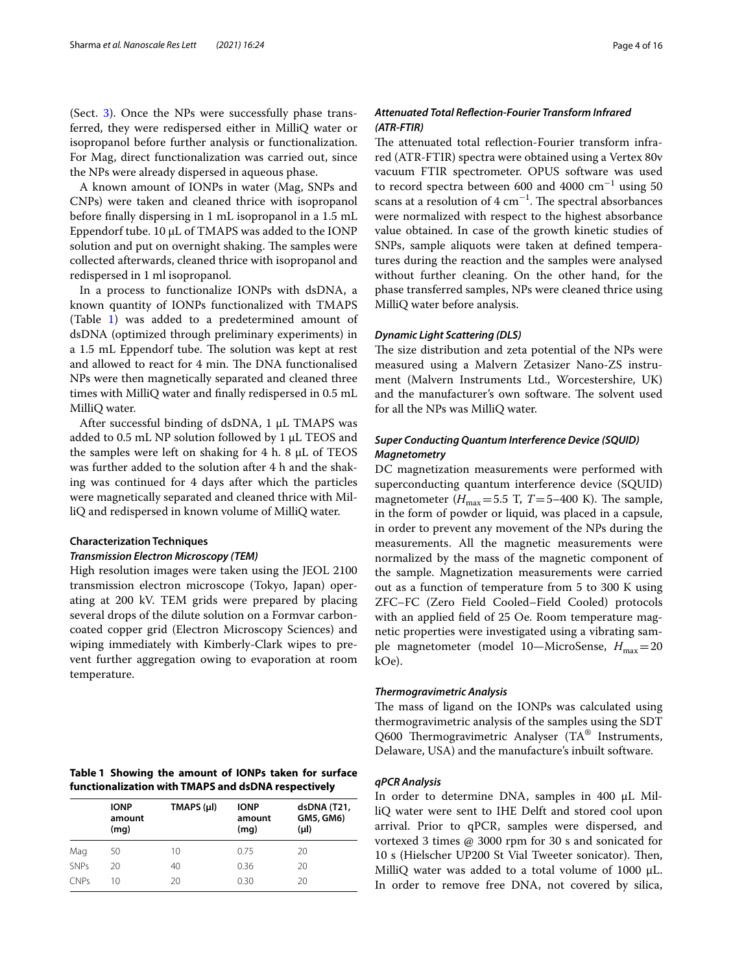(Sect. [3\)](#page-4-0). Once the NPs were successfully phase transferred, they were redispersed either in MilliQ water or isopropanol before further analysis or functionalization. For Mag, direct functionalization was carried out, since the NPs were already dispersed in aqueous phase.

A known amount of IONPs in water (Mag, SNPs and CNPs) were taken and cleaned thrice with isopropanol before finally dispersing in 1 mL isopropanol in a 1.5 mL Eppendorf tube. 10 µL of TMAPS was added to the IONP solution and put on overnight shaking. The samples were collected afterwards, cleaned thrice with isopropanol and redispersed in 1 ml isopropanol.

In a process to functionalize IONPs with dsDNA, a known quantity of IONPs functionalized with TMAPS (Table [1\)](#page-3-0) was added to a predetermined amount of dsDNA (optimized through preliminary experiments) in a 1.5 mL Eppendorf tube. The solution was kept at rest and allowed to react for 4 min. The DNA functionalised NPs were then magnetically separated and cleaned three times with MilliQ water and finally redispersed in 0.5 mL MilliQ water.

After successful binding of dsDNA, 1 µL TMAPS was added to  $0.5$  mL NP solution followed by 1  $\mu$ L TEOS and the samples were left on shaking for 4 h. 8 µL of TEOS was further added to the solution after 4 h and the shaking was continued for 4 days after which the particles were magnetically separated and cleaned thrice with MilliQ and redispersed in known volume of MilliQ water.

#### **Characterization Techniques**

#### **Transmission Electron Microscopy (TEM)**

High resolution images were taken using the JEOL 2100 transmission electron microscope (Tokyo, Japan) operating at 200 kV. TEM grids were prepared by placing several drops of the dilute solution on a Formvar carboncoated copper grid (Electron Microscopy Sciences) and wiping immediately with Kimberly-Clark wipes to prevent further aggregation owing to evaporation at room temperature.

<span id="page-3-0"></span>

| Table 1 Showing the amount of IONPs taken for surface |  |  |  |  |
|-------------------------------------------------------|--|--|--|--|
| functionalization with TMAPS and dsDNA respectively   |  |  |  |  |

|             | <b>IONP</b><br>amount<br>(mq) | TMAPS (µl) | <b>IONP</b><br>amount<br>(mq) | dsDNA (T21,<br>GM5, GM6)<br>$(\mu I)$ |
|-------------|-------------------------------|------------|-------------------------------|---------------------------------------|
| Mag         | 50                            | 10         | 0.75                          | 20                                    |
| <b>SNPs</b> | 20                            | 40         | 0.36                          | 20                                    |
| CNPS        | 10                            | 20         | 0.30                          | 20                                    |

## **Attenuated Total Reflection‑Fourier Transform Infrared (ATR‑FTIR)**

The attenuated total reflection-Fourier transform infrared (ATR-FTIR) spectra were obtained using a Vertex 80v vacuum FTIR spectrometer. OPUS software was used to record spectra between 600 and 4000  $cm^{-1}$  using 50 scans at a resolution of  $4 \text{ cm}^{-1}$ . The spectral absorbances were normalized with respect to the highest absorbance value obtained. In case of the growth kinetic studies of SNPs, sample aliquots were taken at defined temperatures during the reaction and the samples were analysed without further cleaning. On the other hand, for the phase transferred samples, NPs were cleaned thrice using MilliQ water before analysis.

#### **Dynamic Light Scattering (DLS)**

The size distribution and zeta potential of the NPs were measured using a Malvern Zetasizer Nano-ZS instrument (Malvern Instruments Ltd., Worcestershire, UK) and the manufacturer's own software. The solvent used for all the NPs was MilliQ water.

## **Super Conducting Quantum Interference Device (SQUID) Magnetometry**

DC magnetization measurements were performed with superconducting quantum interference device (SQUID) magnetometer ( $H_{\text{max}}$ = 5.5 T, T= 5–400 K). The sample, in the form of powder or liquid, was placed in a capsule, in order to prevent any movement of the NPs during the measurements. All the magnetic measurements were normalized by the mass of the magnetic component of the sample. Magnetization measurements were carried out as a function of temperature from 5 to 300 K using ZFC–FC (Zero Field Cooled–Field Cooled) protocols with an applied field of 25 Oe. Room temperature magnetic properties were investigated using a vibrating sample magnetometer (model 10—MicroSense,  $H_{\text{max}} = 20$ kOe).

## **Thermogravimetric Analysis**

The mass of ligand on the IONPs was calculated using thermogravimetric analysis of the samples using the SDT Q600 Thermogravimetric Analyser (TA® Instruments, Delaware, USA) and the manufacture's inbuilt software.

## **qPCR Analysis**

In order to determine DNA, samples in 400 µL MilliQ water were sent to IHE Delft and stored cool upon arrival. Prior to qPCR, samples were dispersed, and vortexed 3 times @ 3000 rpm for 30 s and sonicated for 10 s (Hielscher UP200 St Vial Tweeter sonicator). Then, MilliQ water was added to a total volume of 1000 μL. In order to remove free DNA, not covered by silica,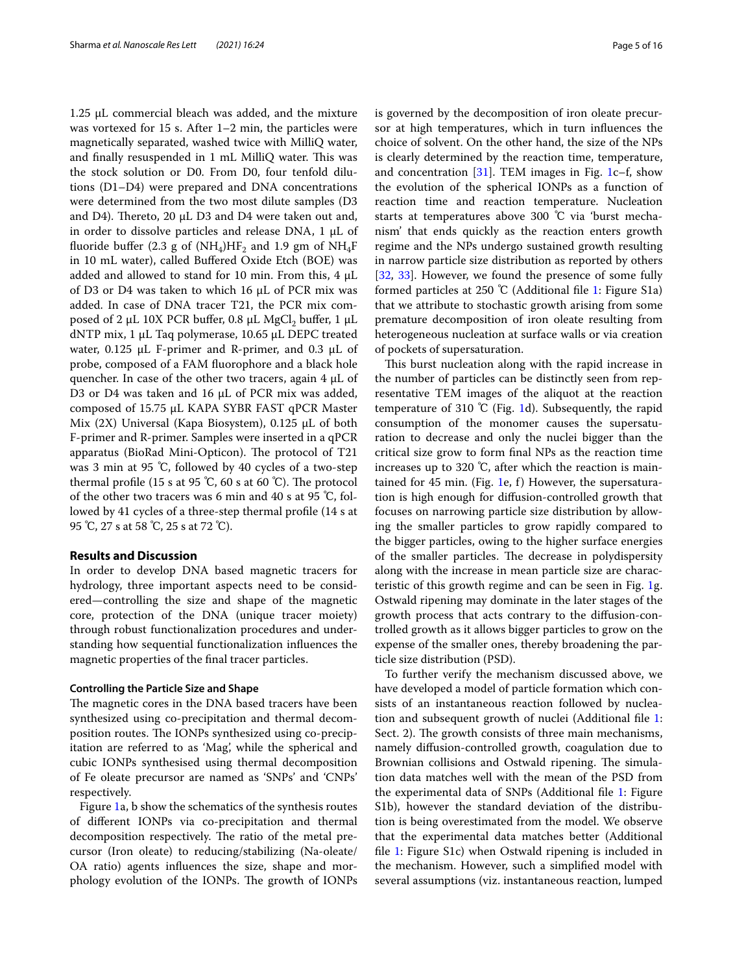1.25 μL commercial bleach was added, and the mixture was vortexed for 15 s. After 1–2 min, the particles were magnetically separated, washed twice with MilliQ water, and finally resuspended in 1 mL MilliQ water. This was the stock solution or D0. From D0, four tenfold dilutions (D1–D4) were prepared and DNA concentrations were determined from the two most dilute samples (D3 and D4). Thereto, 20  $\mu$ L D3 and D4 were taken out and, in order to dissolve particles and release DNA,  $1 \mu L$  of fluoride buffer (2.3 g of (NH<sub>4</sub>)HF<sub>2</sub> and 1.9 gm of NH<sub>4</sub>F in 10 mL water), called Buffered Oxide Etch (BOE) was added and allowed to stand for 10 min. From this,  $4 \mu L$ of D3 or D4 was taken to which 16 μL of PCR mix was added. In case of DNA tracer T21, the PCR mix composed of 2 µL 10X PCR buffer, 0.8 µL MgCl $_2$  buffer, 1 µL dNTP mix, 1 µL Taq polymerase, 10.65 µL DEPC treated water,  $0.125$  µL F-primer and R-primer, and  $0.3$  µL of probe, composed of a FAM fluorophore and a black hole quencher. In case of the other two tracers, again 4 μL of D3 or D4 was taken and 16 µL of PCR mix was added, composed of 15.75 μL KAPA SYBR FAST qPCR Master Mix  $(2X)$  Universal (Kapa Biosystem), 0.125 µL of both F-primer and R-primer. Samples were inserted in a qPCR apparatus (BioRad Mini-Opticon). The protocol of T21 was 3 min at 95 ℃, followed by 40 cycles of a two-step thermal profile (15 s at 95 °C, 60 s at 60 °C). The protocol of the other two tracers was 6 min and 40 s at 95 ℃, followed by 41 cycles of a three-step thermal profile (14 s at 95 °C, 27 s at 58 °C, 25 s at 72 °C).

## <span id="page-4-0"></span>**Results and Discussion**

In order to develop DNA based magnetic tracers for hydrology, three important aspects need to be considered—controlling the size and shape of the magnetic core, protection of the DNA (unique tracer moiety) through robust functionalization procedures and understanding how sequential functionalization influences the magnetic properties of the final tracer particles.

## **Controlling the Particle Size and Shape**

The magnetic cores in the DNA based tracers have been synthesized using co-precipitation and thermal decomposition routes. The IONPs synthesized using co-precipitation are referred to as 'Mag', while the spherical and cubic IONPs synthesised using thermal decomposition of Fe oleate precursor are named as 'SNPs' and 'CNPs' respectively.

Figure [1a](#page-5-0), b show the schematics of the synthesis routes of different IONPs via co-precipitation and thermal decomposition respectively. The ratio of the metal precursor (Iron oleate) to reducing/stabilizing (Na-oleate/ OA ratio) agents influences the size, shape and morphology evolution of the IONPs. The growth of IONPs is governed by the decomposition of iron oleate precursor at high temperatures, which in turn influences the choice of solvent. On the other hand, the size of the NPs is clearly determined by the reaction time, temperature, and concentration [\[31](#page-14-23)]. TEM images in Fig. [1](#page-5-0)c–f, show the evolution of the spherical IONPs as a function of reaction time and reaction temperature. Nucleation starts at temperatures above 300 ℃ via 'burst mechanism' that ends quickly as the reaction enters growth regime and the NPs undergo sustained growth resulting in narrow particle size distribution as reported by others [[32,](#page-15-0) [33](#page-15-1)]. However, we found the presence of some fully formed particles at 250 ℃ (Additional file [1:](#page-13-0) Figure S1a) that we attribute to stochastic growth arising from some premature decomposition of iron oleate resulting from heterogeneous nucleation at surface walls or via creation of pockets of supersaturation.

This burst nucleation along with the rapid increase in the number of particles can be distinctly seen from representative TEM images of the aliquot at the reaction temperature of 310 ℃ (Fig. [1d](#page-5-0)). Subsequently, the rapid consumption of the monomer causes the supersaturation to decrease and only the nuclei bigger than the critical size grow to form final NPs as the reaction time increases up to 320 ℃, after which the reaction is maintained for 45 min. (Fig. [1](#page-5-0)e, f) However, the supersaturation is high enough for diffusion-controlled growth that focuses on narrowing particle size distribution by allowing the smaller particles to grow rapidly compared to the bigger particles, owing to the higher surface energies of the smaller particles. The decrease in polydispersity along with the increase in mean particle size are characteristic of this growth regime and can be seen in Fig. [1](#page-5-0)g. Ostwald ripening may dominate in the later stages of the growth process that acts contrary to the diffusion-controlled growth as it allows bigger particles to grow on the expense of the smaller ones, thereby broadening the particle size distribution (PSD).

To further verify the mechanism discussed above, we have developed a model of particle formation which consists of an instantaneous reaction followed by nucleation and subsequent growth of nuclei (Additional file [1](#page-13-0): Sect. 2). The growth consists of three main mechanisms, namely diffusion-controlled growth, coagulation due to Brownian collisions and Ostwald ripening. The simulation data matches well with the mean of the PSD from the experimental data of SNPs (Additional file [1](#page-13-0): Figure S1b), however the standard deviation of the distribution is being overestimated from the model. We observe that the experimental data matches better (Additional file [1](#page-13-0): Figure S1c) when Ostwald ripening is included in the mechanism. However, such a simplified model with several assumptions (viz. instantaneous reaction, lumped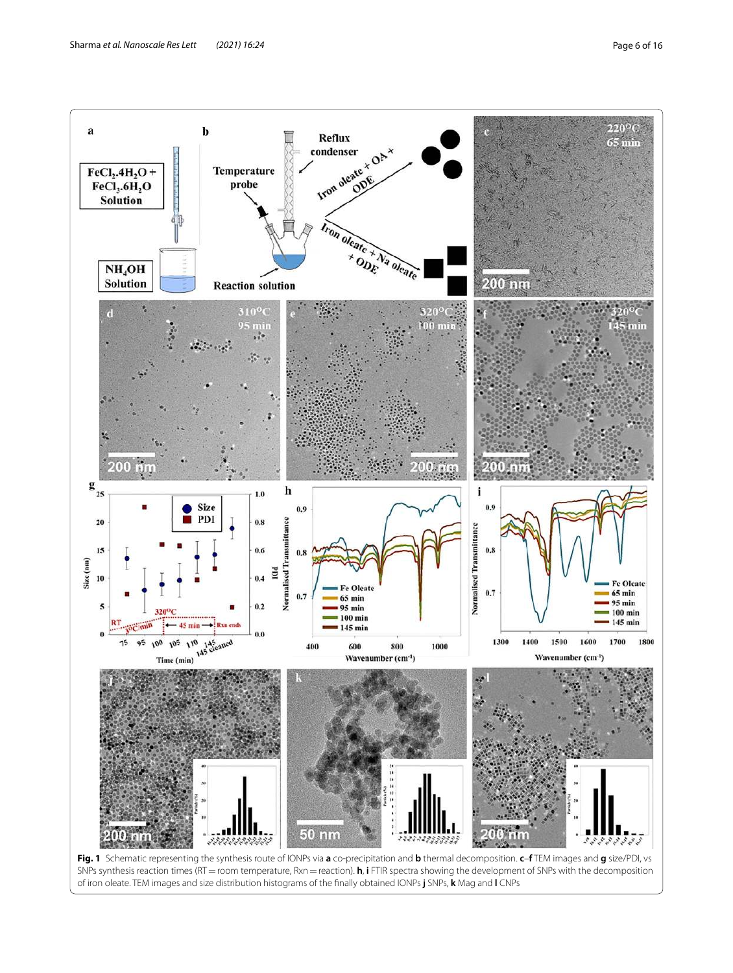

<span id="page-5-0"></span>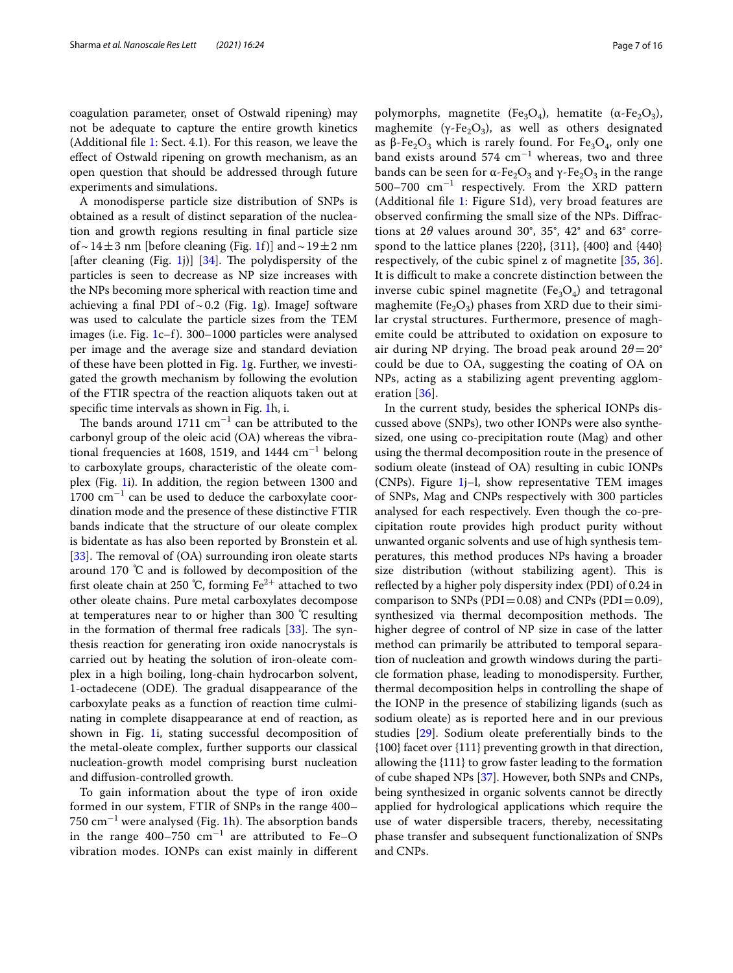coagulation parameter, onset of Ostwald ripening) may not be adequate to capture the entire growth kinetics (Additional file [1](#page-13-0): Sect. 4.1). For this reason, we leave the effect of Ostwald ripening on growth mechanism, as an open question that should be addressed through future experiments and simulations.

A monodisperse particle size distribution of SNPs is obtained as a result of distinct separation of the nucleation and growth regions resulting in final particle size of ~ [1](#page-5-0)4  $\pm$  3 nm [before cleaning (Fig. 1f)] and ~ 19  $\pm$  2 nm [after cleaning  $(Fig. 1j)$  $(Fig. 1j)$  $(Fig. 1j)$ ] [[34\]](#page-15-2). The polydispersity of the particles is seen to decrease as NP size increases with the NPs becoming more spherical with reaction time and achieving a final PDI of  $\sim$  0.2 (Fig. [1](#page-5-0)g). ImageJ software was used to calculate the particle sizes from the TEM images (i.e. Fig. [1c](#page-5-0)–f). 300–1000 particles were analysed per image and the average size and standard deviation of these have been plotted in Fig. [1g](#page-5-0). Further, we investigated the growth mechanism by following the evolution of the FTIR spectra of the reaction aliquots taken out at specific time intervals as shown in Fig. [1](#page-5-0)h, i.

The bands around 1711  $cm^{-1}$  can be attributed to the carbonyl group of the oleic acid (OA) whereas the vibrational frequencies at 1608, 1519, and 1444  $\text{cm}^{-1}$  belong to carboxylate groups, characteristic of the oleate complex (Fig. [1i](#page-5-0)). In addition, the region between 1300 and 1700 cm<sup>−</sup><sup>1</sup> can be used to deduce the carboxylate coordination mode and the presence of these distinctive FTIR bands indicate that the structure of our oleate complex is bidentate as has also been reported by Bronstein et al. [[33\]](#page-15-1). The removal of (OA) surrounding iron oleate starts around 170 ℃ and is followed by decomposition of the first oleate chain at 250 ℃, forming  $\rm Fe^{2+}$  attached to two other oleate chains. Pure metal carboxylates decompose at temperatures near to or higher than 300 ℃ resulting in the formation of thermal free radicals [\[33\]](#page-15-1). The synthesis reaction for generating iron oxide nanocrystals is carried out by heating the solution of iron-oleate complex in a high boiling, long-chain hydrocarbon solvent, 1-octadecene (ODE). The gradual disappearance of the carboxylate peaks as a function of reaction time culminating in complete disappearance at end of reaction, as shown in Fig. [1](#page-5-0)i, stating successful decomposition of the metal-oleate complex, further supports our classical nucleation-growth model comprising burst nucleation and diffusion-controlled growth.

To gain information about the type of iron oxide formed in our system, FTIR of SNPs in the range 400–  $750 \mathrm{~cm}^{-1}$  were analysed (Fig. [1h](#page-5-0)). The absorption bands in the range 400–750  $\text{cm}^{-1}$  are attributed to Fe–O vibration modes. IONPs can exist mainly in different

polymorphs, magnetite (Fe<sub>3</sub>O<sub>4</sub>), hematite (α-Fe<sub>2</sub>O<sub>3</sub>), maghemite ( $\gamma$ -Fe<sub>2</sub>O<sub>3</sub>), as well as others designated as β-Fe<sub>2</sub>O<sub>3</sub> which is rarely found. For Fe<sub>3</sub>O<sub>4</sub>, only one band exists around 574 cm<sup>-1</sup> whereas, two and three bands can be seen for α-Fe<sub>2</sub>O<sub>3</sub> and γ-Fe<sub>2</sub>O<sub>3</sub> in the range 500–700 cm<sup>−</sup><sup>1</sup> respectively. From the XRD pattern (Additional file [1:](#page-13-0) Figure S1d), very broad features are observed confirming the small size of the NPs. Diffractions at  $2\theta$  values around  $30^{\circ}$ ,  $35^{\circ}$ ,  $42^{\circ}$  and  $63^{\circ}$  correspond to the lattice planes {220}, {311}, {400} and {440} respectively, of the cubic spinel z of magnetite [[35,](#page-15-3) [36](#page-15-4)]. It is difficult to make a concrete distinction between the inverse cubic spinel magnetite  $(Fe<sub>3</sub>O<sub>4</sub>)$  and tetragonal maghemite (Fe<sub>2</sub>O<sub>3</sub>) phases from XRD due to their similar crystal structures. Furthermore, presence of maghemite could be attributed to oxidation on exposure to air during NP drying. The broad peak around  $2\theta = 20^{\circ}$ could be due to OA, suggesting the coating of OA on NPs, acting as a stabilizing agent preventing agglomeration [[36\]](#page-15-4).

In the current study, besides the spherical IONPs discussed above (SNPs), two other IONPs were also synthesized, one using co-precipitation route (Mag) and other using the thermal decomposition route in the presence of sodium oleate (instead of OA) resulting in cubic IONPs (CNPs). Figure  $1j-l$  $1j-l$ , show representative TEM images of SNPs, Mag and CNPs respectively with 300 particles analysed for each respectively. Even though the co-precipitation route provides high product purity without unwanted organic solvents and use of high synthesis temperatures, this method produces NPs having a broader size distribution (without stabilizing agent). This is reflected by a higher poly dispersity index (PDI) of 0.24 in comparison to SNPs (PDI =  $0.08$ ) and CNPs (PDI =  $0.09$ ), synthesized via thermal decomposition methods. The higher degree of control of NP size in case of the latter method can primarily be attributed to temporal separation of nucleation and growth windows during the particle formation phase, leading to monodispersity. Further, thermal decomposition helps in controlling the shape of the IONP in the presence of stabilizing ligands (such as sodium oleate) as is reported here and in our previous studies [\[29\]](#page-14-21). Sodium oleate preferentially binds to the {100} facet over {111} preventing growth in that direction, allowing the {111} to grow faster leading to the formation of cube shaped NPs [[37\]](#page-15-5). However, both SNPs and CNPs, being synthesized in organic solvents cannot be directly applied for hydrological applications which require the use of water dispersible tracers, thereby, necessitating phase transfer and subsequent functionalization of SNPs and CNPs.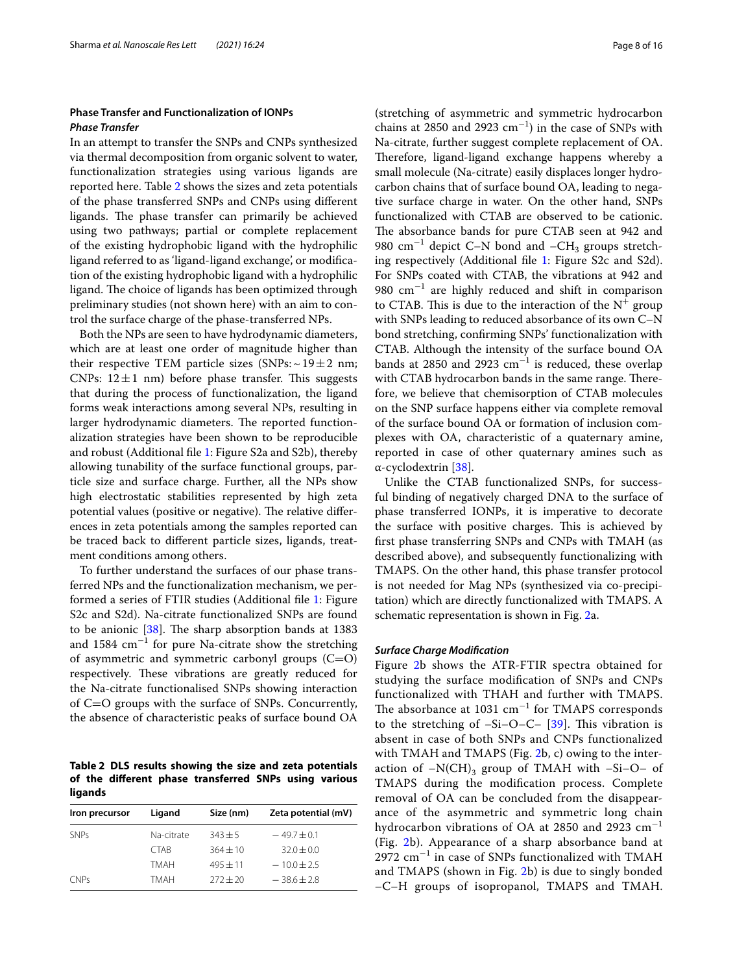## **Phase Transfer and Functionalization of IONPs Phase Transfer**

In an attempt to transfer the SNPs and CNPs synthesized via thermal decomposition from organic solvent to water, functionalization strategies using various ligands are reported here. Table [2](#page-7-0) shows the sizes and zeta potentials of the phase transferred SNPs and CNPs using different ligands. The phase transfer can primarily be achieved using two pathways; partial or complete replacement of the existing hydrophobic ligand with the hydrophilic ligand referred to as 'ligand-ligand exchange', or modification of the existing hydrophobic ligand with a hydrophilic ligand. The choice of ligands has been optimized through preliminary studies (not shown here) with an aim to control the surface charge of the phase-transferred NPs.

Both the NPs are seen to have hydrodynamic diameters, which are at least one order of magnitude higher than their respective TEM particle sizes (SNPs:  $\sim$  19  $\pm$  2 nm; CNPs:  $12 \pm 1$  nm) before phase transfer. This suggests that during the process of functionalization, the ligand forms weak interactions among several NPs, resulting in larger hydrodynamic diameters. The reported functionalization strategies have been shown to be reproducible and robust (Additional file [1:](#page-13-0) Figure S2a and S2b), thereby allowing tunability of the surface functional groups, particle size and surface charge. Further, all the NPs show high electrostatic stabilities represented by high zeta potential values (positive or negative). The relative differences in zeta potentials among the samples reported can be traced back to different particle sizes, ligands, treatment conditions among others.

To further understand the surfaces of our phase transferred NPs and the functionalization mechanism, we performed a series of FTIR studies (Additional file [1:](#page-13-0) Figure S2c and S2d). Na-citrate functionalized SNPs are found to be anionic [\[38](#page-15-6)]. The sharp absorption bands at 1383 and 1584  $\text{cm}^{-1}$  for pure Na-citrate show the stretching of asymmetric and symmetric carbonyl groups  $(C=O)$ respectively. These vibrations are greatly reduced for the Na-citrate functionalised SNPs showing interaction of C=O groups with the surface of SNPs. Concurrently, the absence of characteristic peaks of surface bound OA

<span id="page-7-0"></span>**Table 2 DLS results showing the size and zeta potentials of the different phase transferred SNPs using various ligands**

| Iron precursor | Ligand      | Size (nm)  | Zeta potential (mV) |
|----------------|-------------|------------|---------------------|
| <b>SNPs</b>    | Na-citrate  | $343 + 5$  | $-49.7 + 0.1$       |
|                | <b>CTAB</b> | $364 + 10$ | $32.0 \pm 0.0$      |
|                | <b>TMAH</b> | $495 + 11$ | $-10.0 \pm 2.5$     |
| <b>CNPs</b>    | <b>TMAH</b> | $272 + 20$ | $-38.6 + 2.8$       |

(stretching of asymmetric and symmetric hydrocarbon chains at 2850 and 2923  $cm^{-1}$ ) in the case of SNPs with Na-citrate, further suggest complete replacement of OA. Therefore, ligand-ligand exchange happens whereby a small molecule (Na-citrate) easily displaces longer hydrocarbon chains that of surface bound OA, leading to negative surface charge in water. On the other hand, SNPs functionalized with CTAB are observed to be cationic. The absorbance bands for pure CTAB seen at 942 and 980 cm<sup>-1</sup> depict C-N bond and -CH<sub>3</sub> groups stretching respectively (Additional file [1](#page-13-0): Figure S2c and S2d). For SNPs coated with CTAB, the vibrations at 942 and 980 cm<sup>-1</sup> are highly reduced and shift in comparison to CTAB. This is due to the interaction of the  $N^+$  group with SNPs leading to reduced absorbance of its own C–N bond stretching, confirming SNPs' functionalization with CTAB. Although the intensity of the surface bound OA bands at 2850 and 2923 cm<sup>-1</sup> is reduced, these overlap with CTAB hydrocarbon bands in the same range. Therefore, we believe that chemisorption of CTAB molecules on the SNP surface happens either via complete removal of the surface bound OA or formation of inclusion complexes with OA, characteristic of a quaternary amine, reported in case of other quaternary amines such as α-cyclodextrin [\[38\]](#page-15-6).

Unlike the CTAB functionalized SNPs, for successful binding of negatively charged DNA to the surface of phase transferred IONPs, it is imperative to decorate the surface with positive charges. This is achieved by first phase transferring SNPs and CNPs with TMAH (as described above), and subsequently functionalizing with TMAPS. On the other hand, this phase transfer protocol is not needed for Mag NPs (synthesized via co-precipitation) which are directly functionalized with TMAPS. A schematic representation is shown in Fig. [2](#page-8-0)a.

## **Surface Charge Modification**

Figure [2](#page-8-0)b shows the ATR-FTIR spectra obtained for studying the surface modification of SNPs and CNPs functionalized with THAH and further with TMAPS. The absorbance at 1031 cm<sup>-1</sup> for TMAPS corresponds to the stretching of –Si–O–C– [[39\]](#page-15-7). This vibration is absent in case of both SNPs and CNPs functionalized with TMAH and TMAPS (Fig. [2](#page-8-0)b, c) owing to the interaction of  $-N(CH)_3$  group of TMAH with  $-Si-O-$  of TMAPS during the modification process. Complete removal of OA can be concluded from the disappearance of the asymmetric and symmetric long chain hydrocarbon vibrations of OA at 2850 and 2923  $cm^{-1}$ (Fig. [2b](#page-8-0)). Appearance of a sharp absorbance band at 2972 cm<sup>-1</sup> in case of SNPs functionalized with TMAH and TMAPS (shown in Fig. [2b](#page-8-0)) is due to singly bonded –C–H groups of isopropanol, TMAPS and TMAH.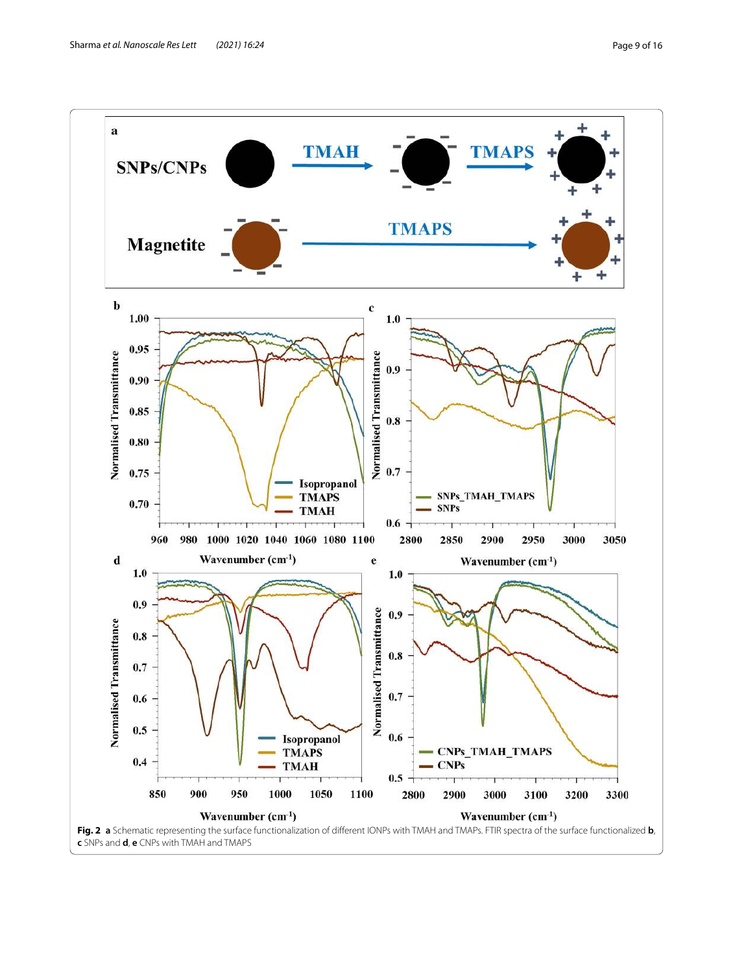<span id="page-8-0"></span>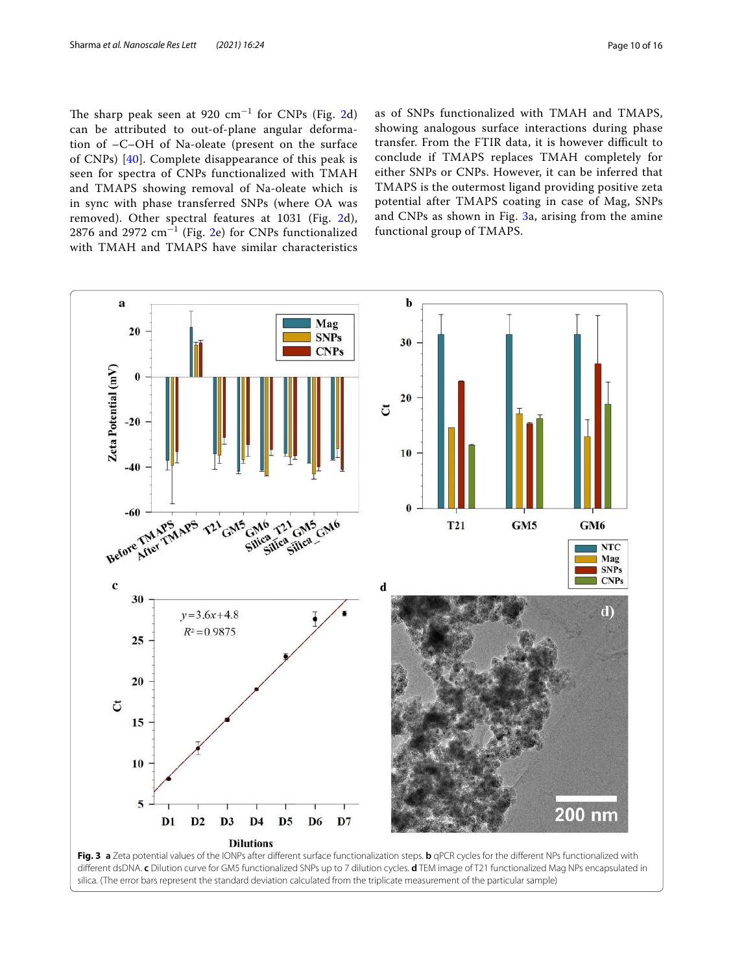The sharp peak seen at  $920 \text{ cm}^{-1}$  for CNPs (Fig. [2d](#page-8-0)) can be attributed to out-of-plane angular deformation of –C–OH of Na-oleate (present on the surface of CNPs) [[40\]](#page-15-8). Complete disappearance of this peak is seen for spectra of CNPs functionalized with TMAH and TMAPS showing removal of Na-oleate which is in sync with phase transferred SNPs (where OA was removed). Other spectral features at 1031 (Fig. [2d](#page-8-0)),  $2876$  $2876$  and  $2972 \text{ cm}^{-1}$  (Fig. 2e) for CNPs functionalized with TMAH and TMAPS have similar characteristics

as of SNPs functionalized with TMAH and TMAPS, showing analogous surface interactions during phase transfer. From the FTIR data, it is however difficult to conclude if TMAPS replaces TMAH completely for either SNPs or CNPs. However, it can be inferred that TMAPS is the outermost ligand providing positive zeta potential after TMAPS coating in case of Mag, SNPs and CNPs as shown in Fig. [3a](#page-9-0), arising from the amine functional group of TMAPS.



<span id="page-9-0"></span>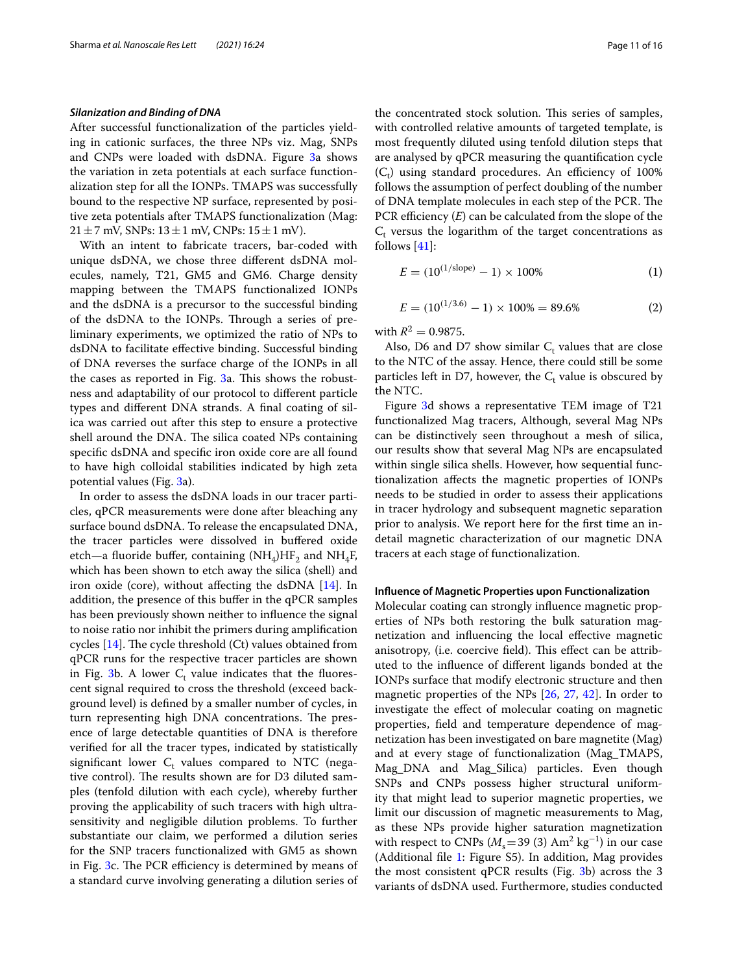## **Silanization and Binding of DNA**

After successful functionalization of the particles yielding in cationic surfaces, the three NPs viz. Mag, SNPs and CNPs were loaded with dsDNA. Figure [3](#page-9-0)a shows the variation in zeta potentials at each surface functionalization step for all the IONPs. TMAPS was successfully bound to the respective NP surface, represented by positive zeta potentials after TMAPS functionalization (Mag:  $21 \pm 7$  mV, SNPs:  $13 \pm 1$  mV, CNPs:  $15 \pm 1$  mV).

With an intent to fabricate tracers, bar-coded with unique dsDNA, we chose three different dsDNA molecules, namely, T21, GM5 and GM6. Charge density mapping between the TMAPS functionalized IONPs and the dsDNA is a precursor to the successful binding of the dsDNA to the IONPs. Through a series of preliminary experiments, we optimized the ratio of NPs to dsDNA to facilitate effective binding. Successful binding of DNA reverses the surface charge of the IONPs in all the cases as reported in Fig. [3](#page-9-0)a. This shows the robustness and adaptability of our protocol to different particle types and different DNA strands. A final coating of silica was carried out after this step to ensure a protective shell around the DNA. The silica coated NPs containing specific dsDNA and specific iron oxide core are all found to have high colloidal stabilities indicated by high zeta potential values (Fig. [3](#page-9-0)a).

In order to assess the dsDNA loads in our tracer particles, qPCR measurements were done after bleaching any surface bound dsDNA. To release the encapsulated DNA, the tracer particles were dissolved in buffered oxide etch—a fluoride buffer, containing  $(NH_4)HF_2$  and  $NH_4F_7$ which has been shown to etch away the silica (shell) and iron oxide (core), without affecting the dsDNA [[14\]](#page-14-10). In addition, the presence of this buffer in the qPCR samples has been previously shown neither to influence the signal to noise ratio nor inhibit the primers during amplification cycles [[14](#page-14-10)]. The cycle threshold (Ct) values obtained from qPCR runs for the respective tracer particles are shown in Fig. [3b](#page-9-0). A lower  $C_t$  value indicates that the fluorescent signal required to cross the threshold (exceed background level) is defined by a smaller number of cycles, in turn representing high DNA concentrations. The presence of large detectable quantities of DNA is therefore verified for all the tracer types, indicated by statistically significant lower  $C_t$  values compared to NTC (negative control). The results shown are for D3 diluted samples (tenfold dilution with each cycle), whereby further proving the applicability of such tracers with high ultrasensitivity and negligible dilution problems. To further substantiate our claim, we performed a dilution series for the SNP tracers functionalized with GM5 as shown in Fig. [3](#page-9-0)c. The PCR efficiency is determined by means of a standard curve involving generating a dilution series of

the concentrated stock solution. This series of samples, with controlled relative amounts of targeted template, is most frequently diluted using tenfold dilution steps that are analysed by qPCR measuring the quantification cycle  $(C_t)$  using standard procedures. An efficiency of 100% follows the assumption of perfect doubling of the number of DNA template molecules in each step of the PCR. The PCR efficiency  $(E)$  can be calculated from the slope of the  $C_t$  versus the logarithm of the target concentrations as follows  $[41]$  $[41]$ :

$$
E = (10^{(1/\text{slope})} - 1) \times 100\% \tag{1}
$$

$$
E = (10^{(1/3.6)} - 1) \times 100\% = 89.6\% \tag{2}
$$

with  $R^2 = 0.9875$ .

Also, D6 and D7 show similar  $C_t$  values that are close to the NTC of the assay. Hence, there could still be some particles left in D7, however, the  $C_t$  value is obscured by the NTC.

Figure [3d](#page-9-0) shows a representative TEM image of T21 functionalized Mag tracers, Although, several Mag NPs can be distinctively seen throughout a mesh of silica, our results show that several Mag NPs are encapsulated within single silica shells. However, how sequential functionalization affects the magnetic properties of IONPs needs to be studied in order to assess their applications in tracer hydrology and subsequent magnetic separation prior to analysis. We report here for the first time an indetail magnetic characterization of our magnetic DNA tracers at each stage of functionalization.

## **Influence of Magnetic Properties upon Functionalization**

Molecular coating can strongly influence magnetic properties of NPs both restoring the bulk saturation magnetization and influencing the local effective magnetic anisotropy, (i.e. coercive field). This effect can be attributed to the influence of different ligands bonded at the IONPs surface that modify electronic structure and then magnetic properties of the NPs [[26,](#page-14-18) [27](#page-14-19), [42\]](#page-15-10). In order to investigate the effect of molecular coating on magnetic properties, field and temperature dependence of magnetization has been investigated on bare magnetite (Mag) and at every stage of functionalization (Mag\_TMAPS, Mag\_DNA and Mag\_Silica) particles. Even though SNPs and CNPs possess higher structural uniformity that might lead to superior magnetic properties, we limit our discussion of magnetic measurements to Mag, as these NPs provide higher saturation magnetization with respect to CNPs ( $M_s$ =39 (3) Am<sup>2</sup> kg<sup>-1</sup>) in our case (Additional file [1:](#page-13-0) Figure S5). In addition, Mag provides the most consistent qPCR results (Fig. [3b](#page-9-0)) across the 3 variants of dsDNA used. Furthermore, studies conducted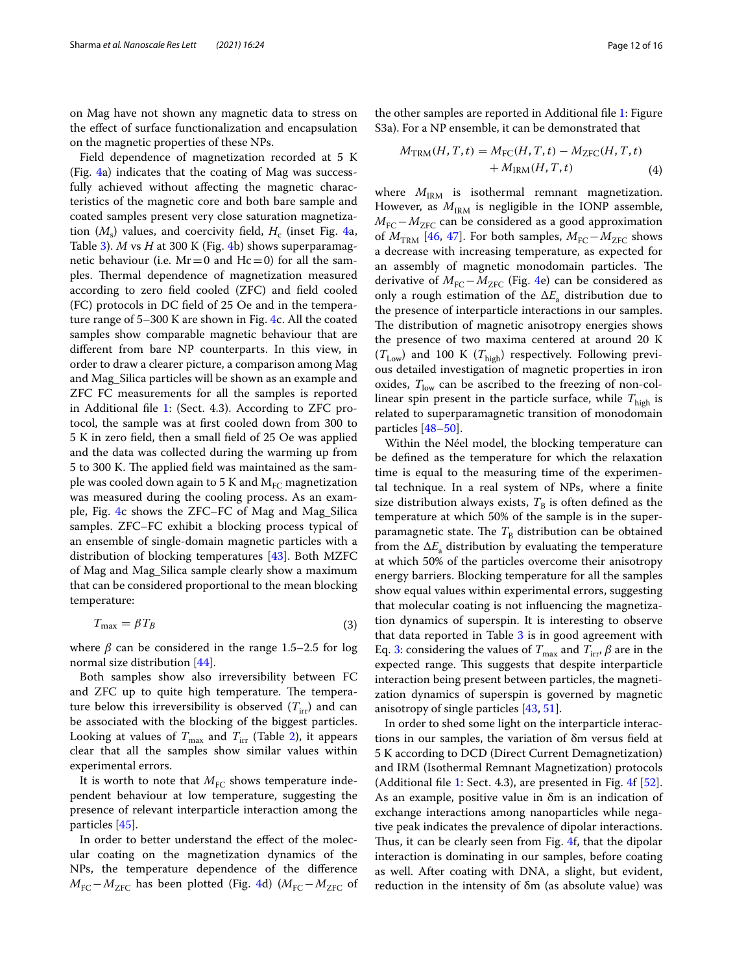on Mag have not shown any magnetic data to stress on the effect of surface functionalization and encapsulation on the magnetic properties of these NPs.

Field dependence of magnetization recorded at 5 K (Fig. [4](#page-12-0)a) indicates that the coating of Mag was successfully achieved without affecting the magnetic characteristics of the magnetic core and both bare sample and coated samples present very close saturation magnetization  $(M<sub>s</sub>)$  values, and coercivity field,  $H<sub>c</sub>$  (inset Fig. [4a](#page-12-0), Table [3](#page-13-1)). *M* vs *H* at 300 K (Fig. [4b](#page-12-0)) shows superparamagnetic behaviour (i.e.  $Mr = 0$  and  $Hc = 0$ ) for all the samples. Thermal dependence of magnetization measured according to zero field cooled (ZFC) and field cooled (FC) protocols in DC field of 25 Oe and in the temperature range of 5–300 K are shown in Fig. [4c](#page-12-0). All the coated samples show comparable magnetic behaviour that are different from bare NP counterparts. In this view, in order to draw a clearer picture, a comparison among Mag and Mag\_Silica particles will be shown as an example and ZFC FC measurements for all the samples is reported in Additional file [1](#page-13-0): (Sect. 4.3). According to ZFC protocol, the sample was at first cooled down from 300 to 5 K in zero field, then a small field of 25 Oe was applied and the data was collected during the warming up from 5 to 300 K. The applied field was maintained as the sample was cooled down again to 5 K and  $M_{EC}$  magnetization was measured during the cooling process. As an example, Fig. [4c](#page-12-0) shows the ZFC–FC of Mag and Mag\_Silica samples. ZFC–FC exhibit a blocking process typical of an ensemble of single-domain magnetic particles with a distribution of blocking temperatures [[43](#page-15-11)]. Both MZFC of Mag and Mag\_Silica sample clearly show a maximum that can be considered proportional to the mean blocking temperature:

$$
T_{\text{max}} = \beta T_B \tag{3}
$$

where  $\beta$  can be considered in the range 1.5–2.5 for log normal size distribution [\[44](#page-15-12)].

Both samples show also irreversibility between FC and ZFC up to quite high temperature. The temperature below this irreversibility is observed  $(T_{irr})$  and can be associated with the blocking of the biggest particles. Looking at values of  $T_{\text{max}}$  and  $T_{\text{irr}}$  (Table [2\)](#page-7-0), it appears clear that all the samples show similar values within experimental errors.

It is worth to note that  $M_{\text{FC}}$  shows temperature independent behaviour at low temperature, suggesting the presence of relevant interparticle interaction among the particles [\[45\]](#page-15-13).

In order to better understand the effect of the molecular coating on the magnetization dynamics of the NPs, the temperature dependence of the difference  $M_{\text{FC}}-M_{\text{ZFC}}$  has been plotted (Fig. [4d](#page-12-0)) ( $M_{\text{FC}}-M_{\text{ZFC}}$  of

the other samples are reported in Additional file [1](#page-13-0): Figure S3a). For a NP ensemble, it can be demonstrated that

$$
M_{\text{TRM}}(H, T, t) = M_{\text{FC}}(H, T, t) - M_{\text{ZFC}}(H, T, t)
$$
  
+ 
$$
M_{\text{IRM}}(H, T, t)
$$
 (4)

where  $M_{\text{IRM}}$  is isothermal remnant magnetization. However, as  $M_{\text{IRM}}$  is negligible in the IONP assemble,  $M_{\text{FC}}-M_{\text{ZFC}}$  can be considered as a good approximation of  $M_{\text{TRM}}$  [[46](#page-15-14), [47](#page-15-15)]. For both samples,  $M_{\text{FC}}-M_{\text{ZFC}}$  shows a decrease with increasing temperature, as expected for an assembly of magnetic monodomain particles. The derivative of  $M_{\text{FC}}-M_{\text{ZFC}}$  (Fig. [4](#page-12-0)e) can be considered as only a rough estimation of the  $\Delta E$ <sub>a</sub> distribution due to the presence of interparticle interactions in our samples. The distribution of magnetic anisotropy energies shows the presence of two maxima centered at around 20 K  $(T_{Low})$  and 100 K  $(T_{high})$  respectively. Following previous detailed investigation of magnetic properties in iron oxides,  $T_{low}$  can be ascribed to the freezing of non-collinear spin present in the particle surface, while  $T_{\text{high}}$  is related to superparamagnetic transition of monodomain particles [\[48–](#page-15-16)[50\]](#page-15-17).

Within the Néel model, the blocking temperature can be defined as the temperature for which the relaxation time is equal to the measuring time of the experimental technique. In a real system of NPs, where a finite size distribution always exists,  $T_B$  is often defined as the temperature at which 50% of the sample is in the superparamagnetic state. The  $T_B$  distribution can be obtained from the  $\Delta E_a$  distribution by evaluating the temperature at which 50% of the particles overcome their anisotropy energy barriers. Blocking temperature for all the samples show equal values within experimental errors, suggesting that molecular coating is not influencing the magnetization dynamics of superspin. It is interesting to observe that data reported in Table [3](#page-13-1) is in good agreement with Eq. [3](#page-11-0): considering the values of  $T_{\text{max}}$  and  $T_{\text{irr}}$ ,  $\beta$  are in the expected range. This suggests that despite interparticle interaction being present between particles, the magnetization dynamics of superspin is governed by magnetic anisotropy of single particles [\[43,](#page-15-11) [51](#page-15-18)].

<span id="page-11-0"></span>In order to shed some light on the interparticle interactions in our samples, the variation of δm versus field at 5 K according to DCD (Direct Current Demagnetization) and IRM (Isothermal Remnant Magnetization) protocols (Additional file [1](#page-13-0): Sect. 4.3), are presented in Fig. [4](#page-12-0)f [\[52](#page-15-19)]. As an example, positive value in δm is an indication of exchange interactions among nanoparticles while negative peak indicates the prevalence of dipolar interactions. Thus, it can be clearly seen from Fig. [4f](#page-12-0), that the dipolar interaction is dominating in our samples, before coating as well. After coating with DNA, a slight, but evident, reduction in the intensity of δm (as absolute value) was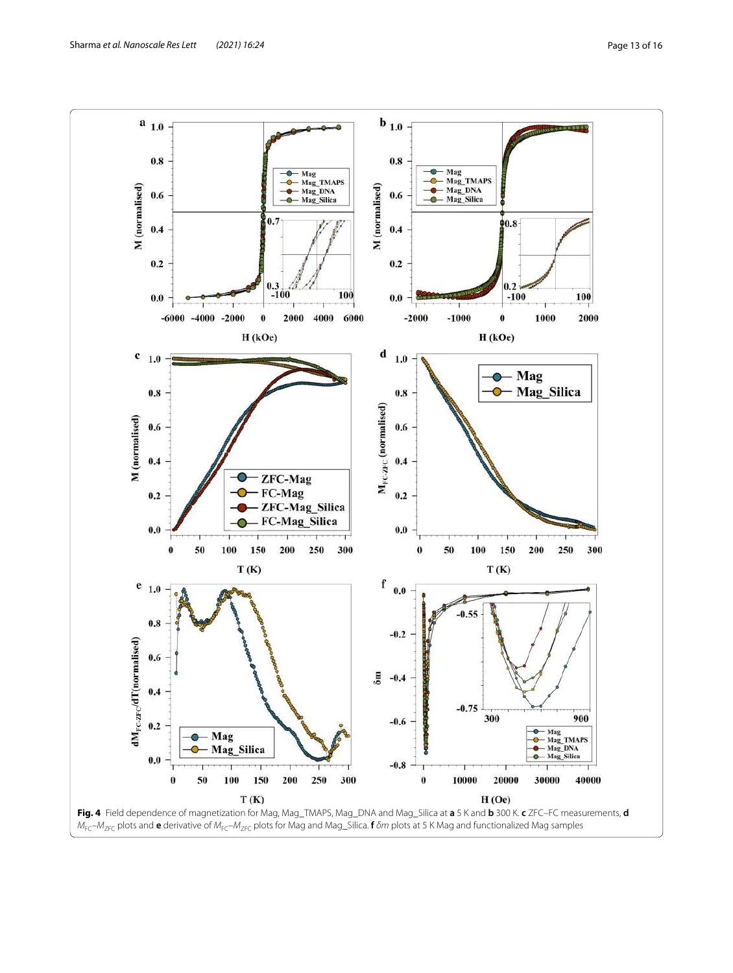<span id="page-12-0"></span>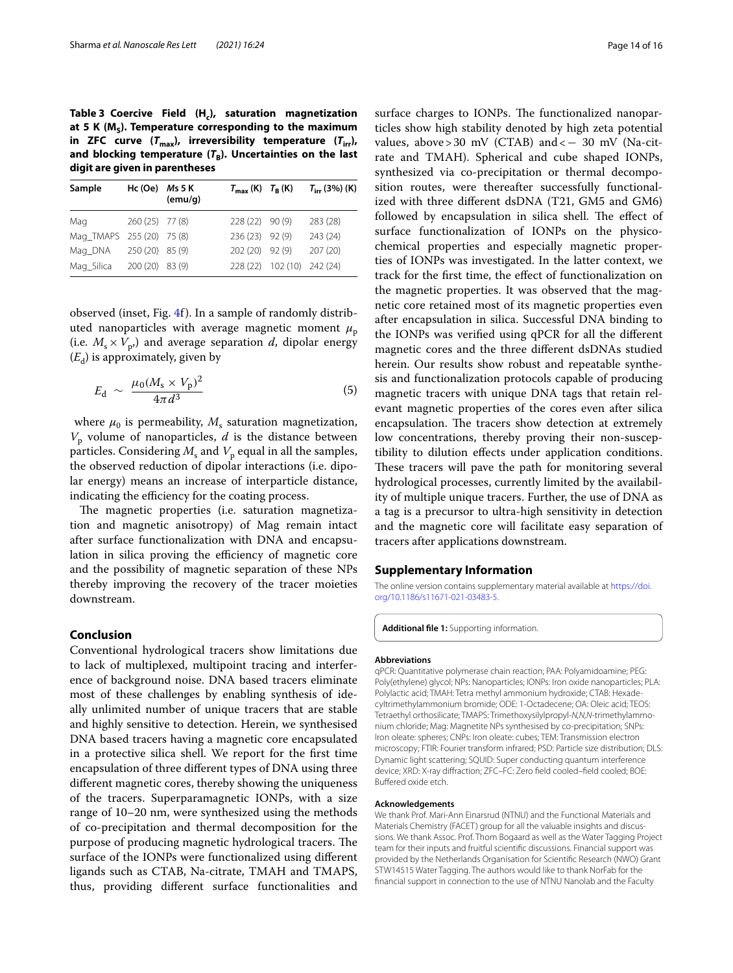<span id="page-13-1"></span>**Table 3 Coercive Field (H<sup>c</sup> ), saturation magnetization at 5 K (M<sup>S</sup> ). Temperature corresponding to the maximum**  in **ZFC** curve  $(T_{max})$ , irreversibility temperature  $(T_{irr})$ , **and blocking temperature (T<sup>B</sup> ). Uncertainties on the last digit are given in parentheses**

| Sample                    | Hc $(Oe)$ Ms 5 K | (emu/g) | $T_{\text{max}}$ (K) $T_{\text{B}}$ (K) |                            | $T_{irr}$ (3%) (K) |
|---------------------------|------------------|---------|-----------------------------------------|----------------------------|--------------------|
| Mag                       | 260 (25) 77 (8)  |         | 228 (22) 90 (9)                         |                            | 283 (28)           |
| Mag_TMAPS 255 (20) 75 (8) |                  |         | 236 (23) 92 (9)                         |                            | 243 (24)           |
| Mag DNA                   | 250 (20) 85 (9)  |         | 202 (20) 92 (9)                         |                            | 207 (20)           |
| Mag Silica                | 200 (20) 83 (9)  |         |                                         | 228 (22) 102 (10) 242 (24) |                    |

observed (inset, Fig. [4](#page-12-0)f). In a sample of randomly distributed nanoparticles with average magnetic moment  $\mu_{\rm p}$ (i.e.  $M_s \times V_p$ ) and average separation d, dipolar energy  $(E_d)$  is approximately, given by

$$
E_{\rm d} \sim \frac{\mu_0 (M_{\rm s} \times V_{\rm p})^2}{4\pi d^3} \tag{5}
$$

where  $\mu_0$  is permeability,  $M_s$  saturation magnetization,  $V_{\rm p}$  volume of nanoparticles,  $d$  is the distance between particles. Considering  $M_{\rm s}$  and  $V_{\rm p}$  equal in all the samples, the observed reduction of dipolar interactions (i.e. dipolar energy) means an increase of interparticle distance, indicating the efficiency for the coating process.

The magnetic properties (i.e. saturation magnetization and magnetic anisotropy) of Mag remain intact after surface functionalization with DNA and encapsulation in silica proving the efficiency of magnetic core and the possibility of magnetic separation of these NPs thereby improving the recovery of the tracer moieties downstream.

## **Conclusion**

Conventional hydrological tracers show limitations due to lack of multiplexed, multipoint tracing and interference of background noise. DNA based tracers eliminate most of these challenges by enabling synthesis of ideally unlimited number of unique tracers that are stable and highly sensitive to detection. Herein, we synthesised DNA based tracers having a magnetic core encapsulated in a protective silica shell. We report for the first time encapsulation of three different types of DNA using three different magnetic cores, thereby showing the uniqueness of the tracers. Superparamagnetic IONPs, with a size range of 10–20 nm, were synthesized using the methods of co-precipitation and thermal decomposition for the purpose of producing magnetic hydrological tracers. The surface of the IONPs were functionalized using different ligands such as CTAB, Na-citrate, TMAH and TMAPS, thus, providing different surface functionalities and

surface charges to IONPs. The functionalized nanoparticles show high stability denoted by high zeta potential values, above > 30 mV (CTAB) and <  $-$  30 mV (Na-citrate and TMAH). Spherical and cube shaped IONPs, synthesized via co-precipitation or thermal decomposition routes, were thereafter successfully functionalized with three different dsDNA (T21, GM5 and GM6) followed by encapsulation in silica shell. The effect of surface functionalization of IONPs on the physicochemical properties and especially magnetic properties of IONPs was investigated. In the latter context, we track for the first time, the effect of functionalization on the magnetic properties. It was observed that the magnetic core retained most of its magnetic properties even after encapsulation in silica. Successful DNA binding to the IONPs was verified using qPCR for all the different magnetic cores and the three different dsDNAs studied herein. Our results show robust and repeatable synthesis and functionalization protocols capable of producing magnetic tracers with unique DNA tags that retain relevant magnetic properties of the cores even after silica encapsulation. The tracers show detection at extremely low concentrations, thereby proving their non-susceptibility to dilution effects under application conditions. These tracers will pave the path for monitoring several hydrological processes, currently limited by the availability of multiple unique tracers. Further, the use of DNA as a tag is a precursor to ultra-high sensitivity in detection and the magnetic core will facilitate easy separation of tracers after applications downstream.

## **Supplementary Information**

The online version contains supplementary material available at https://doi. org/10.1186/s11671-021-03483-5.

<span id="page-13-0"></span>**Additional file 1:** Supporting information.

#### **Abbreviations**

qPCR: Quantitative polymerase chain reaction; PAA: Polyamidoamine; PEG: Poly(ethylene) glycol; NPs: Nanoparticles; IONPs: Iron oxide nanoparticles; PLA: Polylactic acid; TMAH: Tetra methyl ammonium hydroxide; CTAB: Hexadecyltrimethylammonium bromide; ODE: 1-Octadecene; OA: Oleic acid; TEOS: Tetraethyl orthosilicate; TMAPS: Trimethoxysilylpropyl-N,N,N-trimethylammonium chloride; Mag: Magnetite NPs synthesised by co-precipitation; SNPs: Iron oleate: spheres; CNPs: Iron oleate: cubes; TEM: Transmission electron microscopy; FTIR: Fourier transform infrared; PSD: Particle size distribution; DLS: Dynamic light scattering; SQUID: Super conducting quantum interference device; XRD: X-ray diffraction; ZFC–FC: Zero field cooled–field cooled; BOE: Buffered oxide etch.

#### **Acknowledgements**

We thank Prof. Mari-Ann Einarsrud (NTNU) and the Functional Materials and Materials Chemistry (FACET) group for all the valuable insights and discussions. We thank Assoc. Prof. Thom Bogaard as well as the Water Tagging Project team for their inputs and fruitful scientific discussions. Financial support was provided by the Netherlands Organisation for Scientific Research (NWO) Grant STW14515 Water Tagging. The authors would like to thank NorFab for the financial support in connection to the use of NTNU Nanolab and the Faculty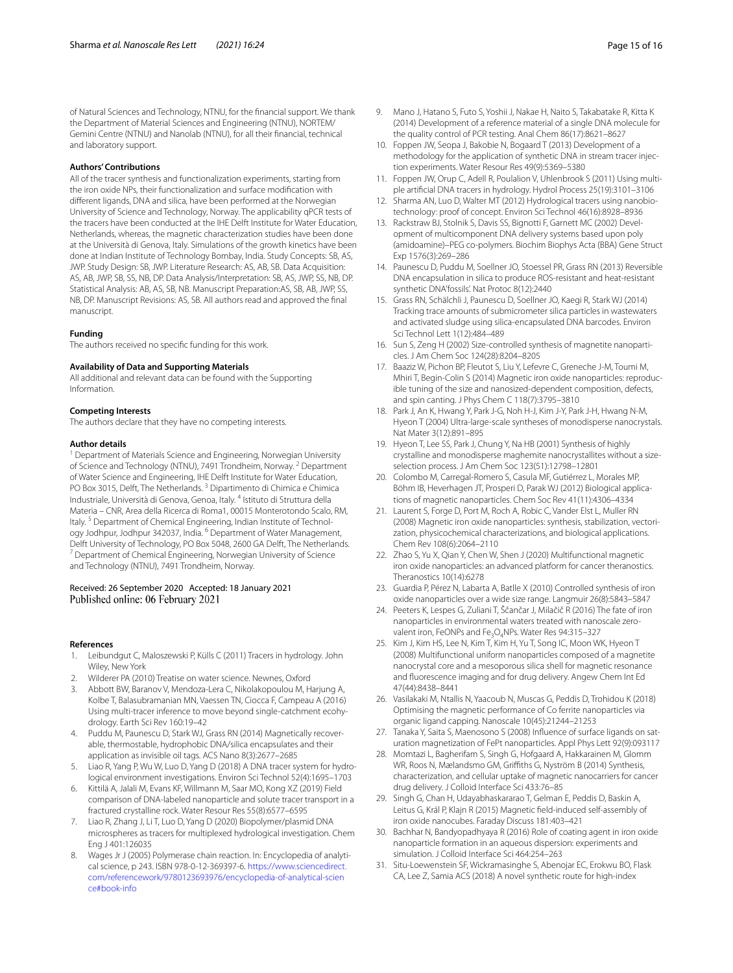of Natural Sciences and Technology, NTNU, for the financial support. We thank the Department of Material Sciences and Engineering (NTNU), NORTEM/ Gemini Centre (NTNU) and Nanolab (NTNU), for all their financial, technical and laboratory support.

#### **Authors' Contributions**

All of the tracer synthesis and functionalization experiments, starting from the iron oxide NPs, their functionalization and surface modification with different ligands, DNA and silica, have been performed at the Norwegian University of Science and Technology, Norway. The applicability qPCR tests of the tracers have been conducted at the IHE Delft Institute for Water Education, Netherlands, whereas, the magnetic characterization studies have been done at the Università di Genova, Italy. Simulations of the growth kinetics have been done at Indian Institute of Technology Bombay, India. Study Concepts: SB, AS, JWP. Study Design: SB, JWP. Literature Research: AS, AB, SB. Data Acquisition: AS, AB, JWP, SB, SS, NB, DP. Data Analysis/Interpretation: SB, AS, JWP, SS, NB, DP. Statistical Analysis: AB, AS, SB, NB. Manuscript Preparation:AS, SB, AB, JWP, SS, NB, DP. Manuscript Revisions: AS, SB. All authors read and approved the final manuscript.

#### **Funding**

The authors received no specific funding for this work.

#### **Availability of Data and Supporting Materials**

All additional and relevant data can be found with the Supporting Information.

#### **Competing Interests**

The authors declare that they have no competing interests.

#### **Author details**

<sup>1</sup> Department of Materials Science and Engineering, Norwegian University of Science and Technology (NTNU), 7491 Trondheim, Norway.<sup>2</sup> Department of Water Science and Engineering, IHE Delft Institute for Water Education, PO Box 3015, Delft, The Netherlands. <sup>3</sup> Dipartimento di Chimica e Chimica Industriale, Università di Genova, Genoa, Italy. <sup>4</sup> Istituto di Struttura della Materia – CNR, Area della Ricerca di Roma1, 00015 Monterotondo Scalo, RM, Italy.<sup>5</sup> Department of Chemical Engineering, Indian Institute of Technology Jodhpur, Jodhpur 342037, India. <sup>6</sup> Department of Water Management, Delft University of Technology, PO Box 5048, 2600 GA Delft, The Netherlands. <sup>7</sup> Department of Chemical Engineering, Norwegian University of Science and Technology (NTNU), 7491 Trondheim, Norway.

### Received: 26 September 2020 Accepted: 18 January 2021 Published online: 06 February 2021

#### **References**

- <span id="page-14-0"></span> 1. Leibundgut C, Maloszewski P, Külls C (2011) Tracers in hydrology. John Wiley, New York
- <span id="page-14-1"></span>2. Wilderer PA (2010) Treatise on water science. Newnes, Oxford
- <span id="page-14-2"></span> 3. Abbott BW, Baranov V, Mendoza-Lera C, Nikolakopoulou M, Harjung A, Kolbe T, Balasubramanian MN, Vaessen TN, Ciocca F, Campeau A (2016) Using multi-tracer inference to move beyond single-catchment ecohydrology. Earth Sci Rev 160:19–42
- <span id="page-14-3"></span> 4. Puddu M, Paunescu D, Stark WJ, Grass RN (2014) Magnetically recoverable, thermostable, hydrophobic DNA/silica encapsulates and their application as invisible oil tags. ACS Nano 8(3):2677–2685
- 5. Liao R, Yang P, Wu W, Luo D, Yang D (2018) A DNA tracer system for hydrological environment investigations. Environ Sci Technol 52(4):1695–1703
- 6. Kittilä A, Jalali M, Evans KF, Willmann M, Saar MO, Kong XZ (2019) Field comparison of DNA-labeled nanoparticle and solute tracer transport in a fractured crystalline rock. Water Resour Res 55(8):6577–6595
- <span id="page-14-4"></span> 7. Liao R, Zhang J, Li T, Luo D, Yang D (2020) Biopolymer/plasmid DNA microspheres as tracers for multiplexed hydrological investigation. Chem Eng J 401:126035
- <span id="page-14-5"></span>Wages Jr J (2005) Polymerase chain reaction. In: Encyclopedia of analytical science, p 243. ISBN 978-0-12-369397-6. https://www.sciencedirect. com/referencework/9780123693976/encyclopedia-of-analytical-scien [ce#book-info](https://www.sciencedirect.com/referencework/9780123693976/encyclopedia-of-analytical-science#book-info)
- <span id="page-14-6"></span> 9. Mano J, Hatano S, Futo S, Yoshii J, Nakae H, Naito S, Takabatake R, Kitta K (2014) Development of a reference material of a single DNA molecule for the quality control of PCR testing. Anal Chem 86(17):8621–8627
- <span id="page-14-7"></span> 10. Foppen JW, Seopa J, Bakobie N, Bogaard T (2013) Development of a methodology for the application of synthetic DNA in stream tracer injection experiments. Water Resour Res 49(9):5369–5380
- 11. Foppen JW, Orup C, Adell R, Poulalion V, Uhlenbrook S (2011) Using multiple artificial DNA tracers in hydrology. Hydrol Process 25(19):3101–3106
- <span id="page-14-8"></span> 12. Sharma AN, Luo D, Walter MT (2012) Hydrological tracers using nanobiotechnology: proof of concept. Environ Sci Technol 46(16):8928–8936
- <span id="page-14-9"></span> 13. Rackstraw BJ, Stolnik S, Davis SS, Bignotti F, Garnett MC (2002) Development of multicomponent DNA delivery systems based upon poly (amidoamine)–PEG co-polymers. Biochim Biophys Acta (BBA) Gene Struct Exp 1576(3):269–286
- <span id="page-14-10"></span> 14. Paunescu D, Puddu M, Soellner JO, Stoessel PR, Grass RN (2013) Reversible DNA encapsulation in silica to produce ROS-resistant and heat-resistant synthetic DNA'fossils'. Nat Protoc 8(12):2440
- <span id="page-14-11"></span> 15. Grass RN, Schälchli J, Paunescu D, Soellner JO, Kaegi R, Stark WJ (2014) Tracking trace amounts of submicrometer silica particles in wastewaters and activated sludge using silica-encapsulated DNA barcodes. Environ Sci Technol Lett 1(12):484–489
- <span id="page-14-12"></span> 16. Sun S, Zeng H (2002) Size-controlled synthesis of magnetite nanoparticles. J Am Chem Soc 124(28):8204–8205
- 17. Baaziz W, Pichon BP, Fleutot S, Liu Y, Lefevre C, Greneche J-M, Toumi M, Mhiri T, Begin-Colin S (2014) Magnetic iron oxide nanoparticles: reproducible tuning of the size and nanosized-dependent composition, defects, and spin canting. J Phys Chem C 118(7):3795–3810
- 18. Park J, An K, Hwang Y, Park J-G, Noh H-J, Kim J-Y, Park J-H, Hwang N-M, Hyeon T (2004) Ultra-large-scale syntheses of monodisperse nanocrystals. Nat Mater 3(12):891–895
- <span id="page-14-13"></span> 19. Hyeon T, Lee SS, Park J, Chung Y, Na HB (2001) Synthesis of highly crystalline and monodisperse maghemite nanocrystallites without a sizeselection process. J Am Chem Soc 123(51):12798–12801
- <span id="page-14-14"></span> 20. Colombo M, Carregal-Romero S, Casula MF, Gutiérrez L, Morales MP, Böhm IB, Heverhagen JT, Prosperi D, Parak WJ (2012) Biological applications of magnetic nanoparticles. Chem Soc Rev 41(11):4306–4334
- 21. Laurent S, Forge D, Port M, Roch A, Robic C, Vander Elst L, Muller RN (2008) Magnetic iron oxide nanoparticles: synthesis, stabilization, vectorization, physicochemical characterizations, and biological applications. Chem Rev 108(6):2064–2110
- <span id="page-14-15"></span> 22. Zhao S, Yu X, Qian Y, Chen W, Shen J (2020) Multifunctional magnetic iron oxide nanoparticles: an advanced platform for cancer theranostics. Theranostics 10(14):6278
- <span id="page-14-16"></span> 23. Guardia P, Pérez N, Labarta A, Batlle X (2010) Controlled synthesis of iron oxide nanoparticles over a wide size range. Langmuir 26(8):5843–5847
- 24. Peeters K, Lespes G, Zuliani T, Ščančar J, Milačič R (2016) The fate of iron nanoparticles in environmental waters treated with nanoscale zerovalent iron, FeONPs and Fe<sub>3</sub>O<sub>4</sub>NPs. Water Res 94:315-327
- <span id="page-14-17"></span> 25. Kim J, Kim HS, Lee N, Kim T, Kim H, Yu T, Song IC, Moon WK, Hyeon T (2008) Multifunctional uniform nanoparticles composed of a magnetite nanocrystal core and a mesoporous silica shell for magnetic resonance and fluorescence imaging and for drug delivery. Angew Chem Int Ed 47(44):8438–8441
- <span id="page-14-18"></span> 26. Vasilakaki M, Ntallis N, Yaacoub N, Muscas G, Peddis D, Trohidou K (2018) Optimising the magnetic performance of Co ferrite nanoparticles via organic ligand capping. Nanoscale 10(45):21244–21253
- <span id="page-14-19"></span> 27. Tanaka Y, Saita S, Maenosono S (2008) Influence of surface ligands on saturation magnetization of FePt nanoparticles. Appl Phys Lett 92(9):093117
- <span id="page-14-20"></span> 28. Momtazi L, Bagherifam S, Singh G, Hofgaard A, Hakkarainen M, Glomm WR, Roos N, Mælandsmo GM, Griffiths G, Nyström B (2014) Synthesis, characterization, and cellular uptake of magnetic nanocarriers for cancer drug delivery. J Colloid Interface Sci 433:76–85
- <span id="page-14-21"></span> 29. Singh G, Chan H, Udayabhaskararao T, Gelman E, Peddis D, Baskin A, Leitus G, Král P, Klajn R (2015) Magnetic field-induced self-assembly of iron oxide nanocubes. Faraday Discuss 181:403–421
- <span id="page-14-22"></span> 30. Bachhar N, Bandyopadhyaya R (2016) Role of coating agent in iron oxide nanoparticle formation in an aqueous dispersion: experiments and simulation. J Colloid Interface Sci 464:254–263
- <span id="page-14-23"></span> 31. Situ-Loewenstein SF, Wickramasinghe S, Abenojar EC, Erokwu BO, Flask CA, Lee Z, Samia ACS (2018) A novel synthetic route for high-index